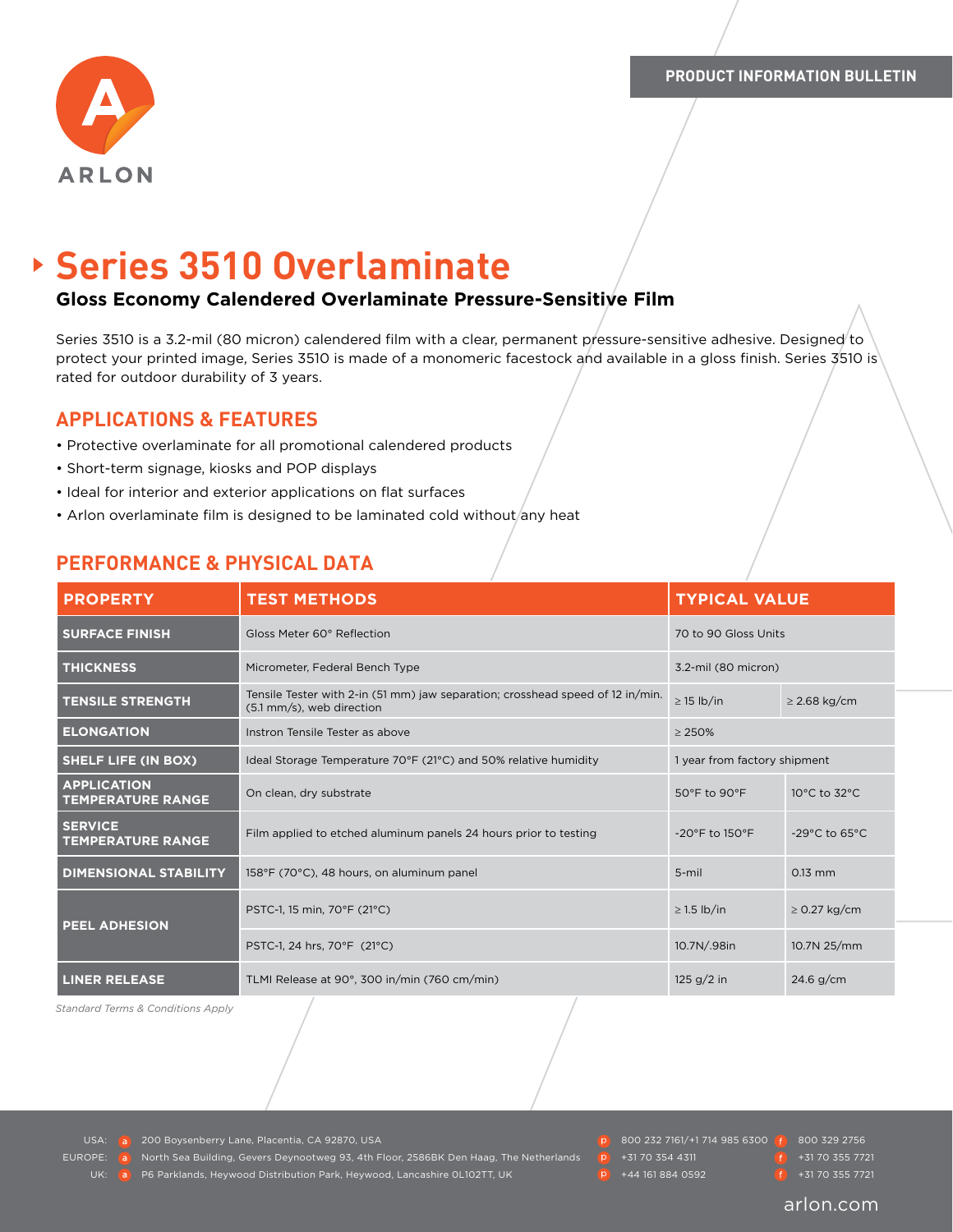

# **Series 3510 Overlaminate**

### **Gloss Economy Calendered Overlaminate Pressure-Sensitive Film**

Series 3510 is a 3.2-mil (80 micron) calendered film with a clear, permanent pressure-sensitive adhesive. Designed to protect your printed image, Series 3510 is made of a monomeric facestock and available in a gloss finish. Series 3510 is rated for outdoor durability of 3 years.

#### **APPLICATIONS & FEATURES**

- Protective overlaminate for all promotional calendered products
- Short-term signage, kiosks and POP displays
- Ideal for interior and exterior applications on flat surfaces
- Arlon overlaminate film is designed to be laminated cold without/any heat

# **PERFORMANCE & PHYSICAL DATA**

| <b>PROPERTY</b>                                | <b>TEST METHODS</b>                                                                                         | <b>TYPICAL VALUE</b>               |                                    |
|------------------------------------------------|-------------------------------------------------------------------------------------------------------------|------------------------------------|------------------------------------|
| <b>SURFACE FINISH</b>                          | Gloss Meter 60° Reflection                                                                                  | 70 to 90 Gloss Units               |                                    |
| <b>THICKNESS</b>                               | Micrometer, Federal Bench Type                                                                              | 3.2-mil (80 micron)                |                                    |
| <b>TENSILE STRENGTH</b>                        | Tensile Tester with 2-in (51 mm) jaw separation; crosshead speed of 12 in/min.<br>(5.1 mm/s), web direction | $\geq$ 15 lb/in                    | $\geq$ 2.68 kg/cm                  |
| <b>ELONGATION</b>                              | Instron Tensile Tester as above                                                                             | $\geq$ 250%                        |                                    |
| <b>SHELF LIFE (IN BOX)</b>                     | Ideal Storage Temperature 70°F (21°C) and 50% relative humidity                                             | 1 year from factory shipment       |                                    |
| <b>APPLICATION</b><br><b>TEMPERATURE RANGE</b> | On clean, dry substrate                                                                                     | 50°F to 90°F                       | 10°C to 32°C                       |
| <b>SERVICE</b><br><b>TEMPERATURE RANGE</b>     | Film applied to etched aluminum panels 24 hours prior to testing                                            | $-20^{\circ}$ F to $150^{\circ}$ F | $-29^{\circ}$ C to 65 $^{\circ}$ C |
| <b>DIMENSIONAL STABILITY</b>                   | 158°F (70°C), 48 hours, on aluminum panel                                                                   | $5 - mi$                           | $0.13$ mm                          |
| <b>PEEL ADHESION</b>                           | PSTC-1, 15 min, 70°F (21°C)                                                                                 | $\geq$ 1.5 lb/in                   | $\geq$ 0.27 kg/cm                  |
|                                                | PSTC-1, 24 hrs, 70°F (21°C)                                                                                 | 10.7N/.98in                        | 10.7N 25/mm                        |
| <b>LINER RELEASE</b>                           | TLMI Release at 90°, 300 in/min (760 cm/min)                                                                | 125 $g/2$ in                       | $24.6$ g/cm                        |

*Standard Terms & Conditions Apply*

USA: a 200 Boysenberry Lane, Placentia, CA 92870, USA 800 232 800 232 7161/+1 714 985 6300 **800 329 2756** 

EUROPE: **North Sea Building, Gevers Deynootweg 93, 4th Floor, 2586BK Den Haag, The Netherlands + P** +31 70 354 4311 + <sup>1</sup> +31 70 355 7721

P6 Parklands, Heywood Distribution Park, Heywood, Lancashire 0L102TT, UK +44 161 884 0592 +44 161 884 0592 +31 70 355 7721

- 
-